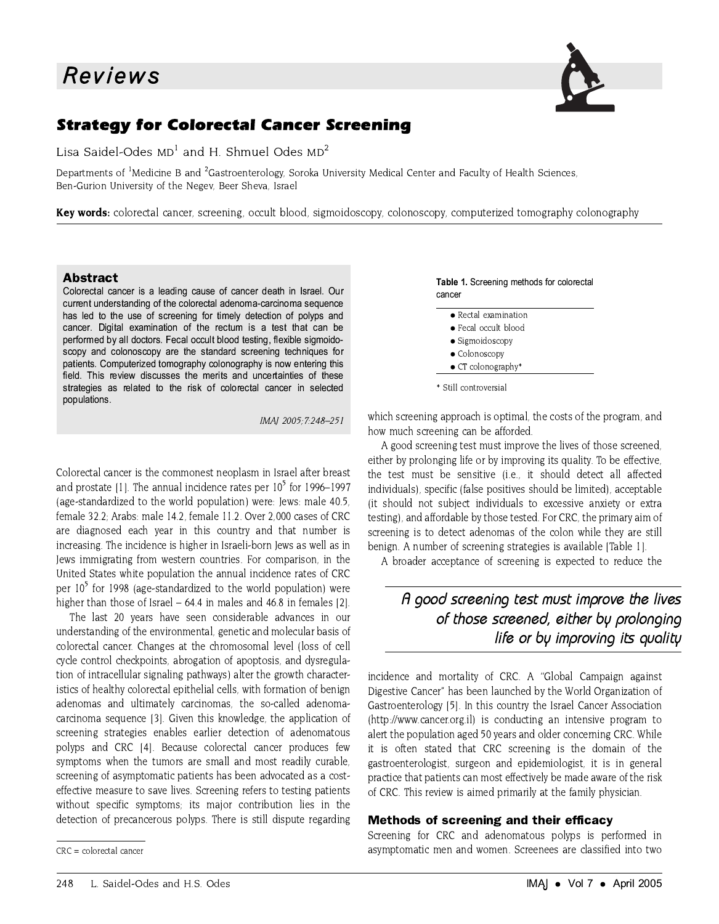

# **Strategy for Colorectal Cancer Screening**

Lisa Saidel-Odes  $MD<sup>1</sup>$  and H. Shmuel Odes  $MD<sup>2</sup>$ 

Departments of <sup>1</sup>Medicine B and <sup>2</sup>Gastroenterology, Soroka University Medical Center and Faculty of Health Sciences, Ben-Gurion University of the Negev, Beer Sheva, Israel

Key words: colorectal cancer, screening, occult blood, sigmoidoscopy, colonoscopy, computerized tomography colonography

### **Abstract**

Colorectal cancer is a leading cause of cancer death in Israel. Our current understanding of the colorectal adenoma-carcinoma sequence has led to the use of screening for timely detection of polyps and cancer. Digital examination of the rectum is a test that can be performed by all doctors. Fecal occult blood testing, flexible sigmoidoscopy and colonoscopy are the standard screening techniques for patients. Computerized tomography colonography is now entering this field. This review discusses the merits and uncertainties of these strategies as related to the risk of colorectal cancer in selected populations.

IMAI 2005:7:248-251

Colorectal cancer is the commonest neoplasm in Israel after breast and prostate [1]. The annual incidence rates per  $10^5$  for 1996–1997 (age-standardized to the world population) were: Jews: male 40.5. female 32.2; Arabs: male 14.2, female 11.2. Over 2,000 cases of CRC are diagnosed each year in this country and that number is increasing. The incidence is higher in Israeli-born Jews as well as in Jews immigrating from western countries. For comparison, in the United States white population the annual incidence rates of CRC per  $10<sup>5</sup>$  for 1998 (age-standardized to the world population) were higher than those of Israel  $-64.4$  in males and 46.8 in females [2].

The last 20 years have seen considerable advances in our understanding of the environmental, genetic and molecular basis of colorectal cancer. Changes at the chromosomal level (loss of cell cycle control checkpoints, abrogation of apoptosis, and dysregulation of intracellular signaling pathways) alter the growth characteristics of healthy colorectal epithelial cells, with formation of benign adenomas and ultimately carcinomas, the so-called adenomacarcinoma sequence [3]. Given this knowledge, the application of screening strategies enables earlier detection of adenomatous polyps and CRC [4]. Because colorectal cancer produces few symptoms when the tumors are small and most readily curable, screening of asymptomatic patients has been advocated as a costeffective measure to save lives. Screening refers to testing patients without specific symptoms; its major contribution lies in the detection of precancerous polyps. There is still dispute regarding

#### Table 1. Screening methods for colorectal cancer

- Rectal examination
- Fecal occult blood
- · Sigmoidoscopy
- Colonoscopy
- $\bullet$  CT colonography\*

which screening approach is optimal, the costs of the program, and how much screening can be afforded.

A good screening test must improve the lives of those screened, either by prolonging life or by improving its quality. To be effective, the test must be sensitive (i.e., it should detect all affected individuals), specific (false positives should be limited), acceptable (it should not subject individuals to excessive anxiety or extra testing), and affordable by those tested. For CRC, the primary aim of screening is to detect adenomas of the colon while they are still benign. A number of screening strategies is available [Table 1].

A broader acceptance of screening is expected to reduce the

# A good screening test must improve the lives of those screened, either by prolonging life or by improving its quality

incidence and mortality of CRC. A "Global Campaign against Digestive Cancer" has been launched by the World Organization of Gastroenterology [5]. In this country the Israel Cancer Association (http://www.cancer.org.il) is conducting an intensive program to alert the population aged 50 years and older concerning CRC. While it is often stated that CRC screening is the domain of the gastroenterologist, surgeon and epidemiologist, it is in general practice that patients can most effectively be made aware of the risk of CRC. This review is aimed primarily at the family physician.

### Methods of screening and their efficacy

Screening for CRC and adenomatous polyps is performed in asymptomatic men and women. Screenees are classified into two

 $CRC =$  colorectal cancer

<sup>\*</sup> Still controversial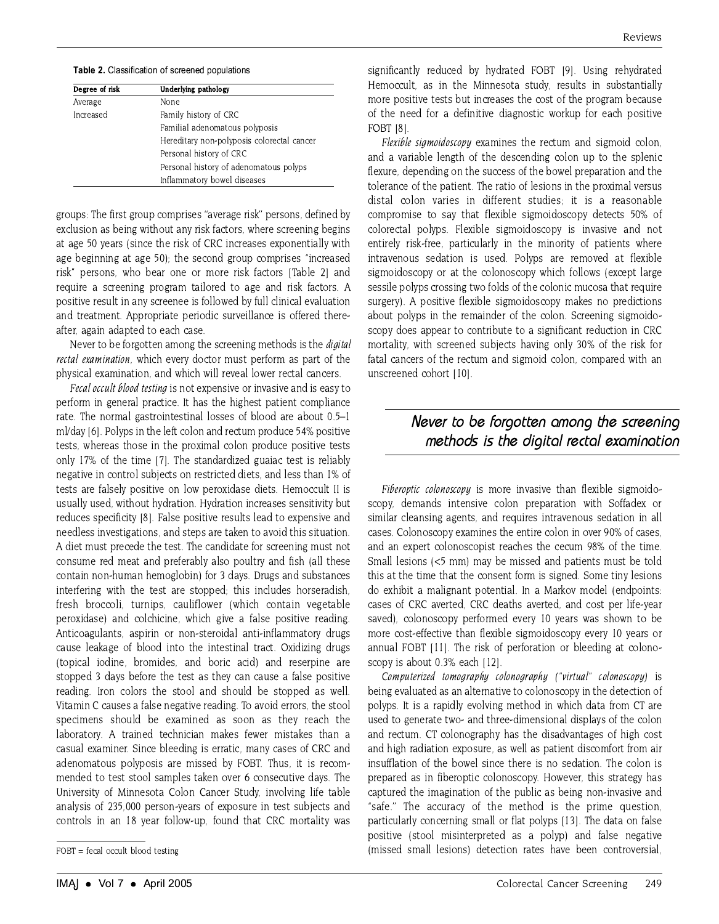| Degree of risk | Underlying pathology                       |
|----------------|--------------------------------------------|
| Average        | None                                       |
| Increased      | Family history of CRC                      |
|                | Familial adenomatous polyposis             |
|                | Hereditary non-polyposis colorectal cancer |
|                | Personal history of CRC                    |
|                | Personal history of adenomatous polyps     |
|                | Inflammatory bowel diseases                |

groups: The first group comprises "average risk" persons, defined by exclusion as being without any risk factors, where screening begins at age 50 years (since the risk of CRC increases exponentially with age beginning at age 50): the second group comprises "increased risk" persons, who bear one or more risk factors (Table 2) and require a screening program tailored to age and risk factors. A positive result in any screenee is followed by full clinical evaluation and treatment. Appropriate periodic surveillance is offered thereafter, again adapted to each case.

Never to be forgotten among the screening methods is the *digital* rectal examination, which every doctor must perform as part of the physical examination, and which will reveal lower rectal cancers.

*Fecal occult blood testing* is not expensive or invasive and is easy to perform in general practice. It has the highest patient compliance rate. The normal gastrointestinal losses of blood are about 0.5-1 ml/day [6]. Polyps in the left colon and rectum produce 54% positive tests, whereas those in the proximal colon produce positive tests only 17% of the time [7]. The standardized guaiac test is reliably negative in control subjects on restricted diets, and less than 1% of tests are falsely positive on low peroxidase diets. Hemoccult II is usually used, without hydration. Hydration increases sensitivity but reduces specificity [8]. False positive results lead to expensive and needless investigations, and steps are taken to avoid this situation. A diet must precede the test. The candidate for screening must not consume red meat and preferably also poultry and fish (all these contain non-human hemoglobin) for 3 days. Drugs and substances interfering with the test are stopped; this includes horseradish, fresh broccoli, turnips, cauliflower (which contain vegetable peroxidase) and colchicine, which give a false positive reading. Anticoagulants, aspirin or non-steroidal anti-inflammatory drugs cause leakage of blood into the intestinal tract. Oxidizing drugs (topical iodine, bromides, and boric acid) and reserpine are stopped 3 days before the test as they can cause a false positive reading. Iron colors the stool and should be stopped as well. Vitamin C causes a false negative reading. To avoid errors, the stool specimens should be examined as soon as they reach the laboratory. A trained technician makes fewer mistakes than a casual examiner. Since bleeding is erratic, many cases of CRC and adenomatous polyposis are missed by FOBT. Thus, it is recommended to test stool samples taken over 6 consecutive days. The University of Minnesota Colon Cancer Study, involving life table analysis of 235,000 person-years of exposure in test subjects and controls in an 18 year follow-up, found that CRC mortality was

significantly reduced by hydrated FOBT [9]. Using rehydrated Hemoccult, as in the Minnesota study, results in substantially more positive tests but increases the cost of the program because of the need for a definitive diagnostic workup for each positive **FOBT [8].** 

Flexible sigmoidoscopy examines the rectum and sigmoid colon. and a variable length of the descending colon up to the splenic flexure, depending on the success of the bowel preparation and the tolerance of the patient. The ratio of lesions in the proximal versus distal colon varies in different studies; it is a reasonable compromise to say that flexible sigmoidoscopy detects 50% of colorectal polyps. Flexible sigmoidoscopy is invasive and not entirely risk-free, particularly in the minority of patients where intravenous sedation is used. Polyps are removed at flexible sigmoidoscopy or at the colonoscopy which follows (except large sessile polyps crossing two folds of the colonic mucosa that require surgery). A positive flexible sigmoidoscopy makes no predictions about polyps in the remainder of the colon. Screening sigmoidoscopy does appear to contribute to a significant reduction in CRC mortality, with screened subjects having only 30% of the risk for fatal cancers of the rectum and sigmoid colon, compared with an unscreened cohort [10].

# Never to be forgotten among the screening methods is the digital rectal examination

Fiberoptic colonoscopy is more invasive than flexible sigmoidoscopy, demands intensive colon preparation with Soffadex or similar cleansing agents, and requires intravenous sedation in all cases. Colonoscopy examines the entire colon in over 90% of cases. and an expert colonoscopist reaches the cecum 98% of the time. Small lesions (<5 mm) may be missed and patients must be told this at the time that the consent form is signed. Some tiny lesions do exhibit a malignant potential. In a Markov model (endpoints: cases of CRC averted, CRC deaths averted, and cost per life-year saved), colonoscopy performed every 10 years was shown to be more cost-effective than flexible sigmoidoscopy every 10 years or annual FOBT [11]. The risk of perforation or bleeding at colonoscopy is about 0.3% each [12].

Computerized tomography colonography ("virtual" colonoscopy) is being evaluated as an alternative to colonoscopy in the detection of polyps. It is a rapidly evolving method in which data from CT are used to generate two- and three-dimensional displays of the colon and rectum. CT colonography has the disadvantages of high cost and high radiation exposure, as well as patient discomfort from air insufflation of the bowel since there is no sedation. The colon is prepared as in fiberoptic colonoscopy. However, this strategy has captured the imagination of the public as being non-invasive and "safe." The accuracy of the method is the prime question. particularly concerning small or flat polyps [13]. The data on false positive (stool misinterpreted as a polyp) and false negative (missed small lesions) detection rates have been controversial,

 $FOBT = fecal$  occult blood testing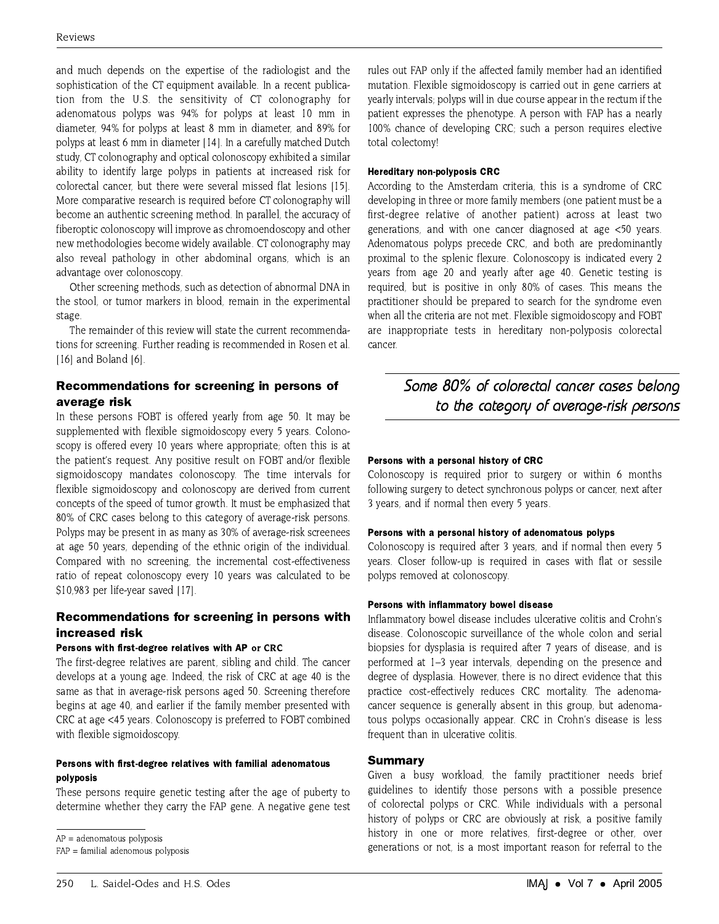and much depends on the expertise of the radiologist and the sophistication of the CT equipment available. In a recent publication from the U.S. the sensitivity of CT colonography for adenomatous polyps was 94% for polyps at least 10 mm in diameter, 94% for polyps at least 8 mm in diameter, and 89% for polyps at least 6 mm in diameter [14]. In a carefully matched Dutch study. CT colonography and optical colonoscopy exhibited a similar ability to identify large polyps in patients at increased risk for colorectal cancer, but there were several missed flat lesions [15]. More comparative research is required before CT colonography will become an authentic screening method. In parallel, the accuracy of fiberoptic colonoscopy will improve as chromoendoscopy and other new methodologies become widely available. CT colonography may also reveal pathology in other abdominal organs, which is an advantage over colonoscopy.

Other screening methods, such as detection of abnormal DNA in the stool, or tumor markers in blood, remain in the experimental stage.

The remainder of this review will state the current recommendations for screening. Further reading is recommended in Rosen et al.  $[16]$  and Boland  $[6]$ .

## Recommendations for screening in persons of average risk

In these persons FOBT is offered yearly from age 50. It may be supplemented with flexible sigmoidoscopy every 5 years. Colonoscopy is offered every 10 years where appropriate; often this is at the patient's request. Any positive result on FOBT and/or flexible sigmoidoscopy mandates colonoscopy. The time intervals for flexible sigmoidoscopy and colonoscopy are derived from current concepts of the speed of tumor growth. It must be emphasized that 80% of CRC cases belong to this category of average-risk persons. Polyps may be present in as many as 30% of average-risk screenees at age 50 years, depending of the ethnic origin of the individual. Compared with no screening, the incremental cost-effectiveness ratio of repeat colonoscopy every 10 years was calculated to be \$10,983 per life-year saved [17].

### Recommendations for screening in persons with increased risk

### Persons with first-degree relatives with AP or CRC

The first-degree relatives are parent, sibling and child. The cancer develops at a young age. Indeed, the risk of CRC at age 40 is the same as that in average-risk persons aged 50. Screening therefore begins at age 40, and earlier if the family member presented with CRC at age <45 years. Colonoscopy is preferred to FOBT combined with flexible sigmoidoscopy.

### Persons with first-degree relatives with familial adenomatous polyposis

These persons require genetic testing after the age of puberty to determine whether they carry the FAP gene. A negative gene test

 $AP =$  adenomatous polyposis

rules out FAP only if the affected family member had an identified mutation. Flexible sigmoidoscopy is carried out in gene carriers at yearly intervals; polyps will in due course appear in the rectum if the patient expresses the phenotype. A person with FAP has a nearly 100% chance of developing CRC; such a person requires elective total colectomy!

#### **Hereditary non-polyposis CRC**

According to the Amsterdam criteria, this is a syndrome of CRC developing in three or more family members (one patient must be a first-degree relative of another patient) across at least two generations, and with one cancer diagnosed at age <50 years. Adenomatous polyps precede CRC, and both are predominantly proximal to the splenic flexure. Colonoscopy is indicated every 2 years from age 20 and yearly after age 40. Genetic testing is required, but is positive in only 80% of cases. This means the practitioner should be prepared to search for the syndrome even when all the criteria are not met. Flexible sigmoidoscopy and FOBT are inappropriate tests in hereditary non-polyposis colorectal cancer.

# Some 80% of colorectal cancer cases belong to the category of average-risk persons

### Persons with a personal history of CRC

Colonoscopy is required prior to surgery or within 6 months following surgery to detect synchronous polyps or cancer, next after 3 years, and if normal then every 5 years.

#### Persons with a personal history of adenomatous polyps

Colonoscopy is required after 3 years, and if normal then every 5 years. Closer follow-up is required in cases with flat or sessile polyps removed at colonoscopy.

#### Persons with inflammatory bowel disease

Inflammatory bowel disease includes ulcerative colitis and Crohn's disease. Colonoscopic surveillance of the whole colon and serial biopsies for dysplasia is required after 7 years of disease, and is performed at 1–3 year intervals, depending on the presence and degree of dysplasia. However, there is no direct evidence that this practice cost-effectively reduces CRC mortality. The adenomacancer sequence is generally absent in this group, but adenomatous polyps occasionally appear. CRC in Crohn's disease is less frequent than in ulcerative colitis.

#### **Summary**

Given a busy workload, the family practitioner needs brief guidelines to identify those persons with a possible presence of colorectal polyps or CRC. While individuals with a personal history of polyps or CRC are obviously at risk, a positive family history in one or more relatives, first-degree or other, over generations or not, is a most important reason for referral to the

 $FAP =$  familial adenomous polyposis